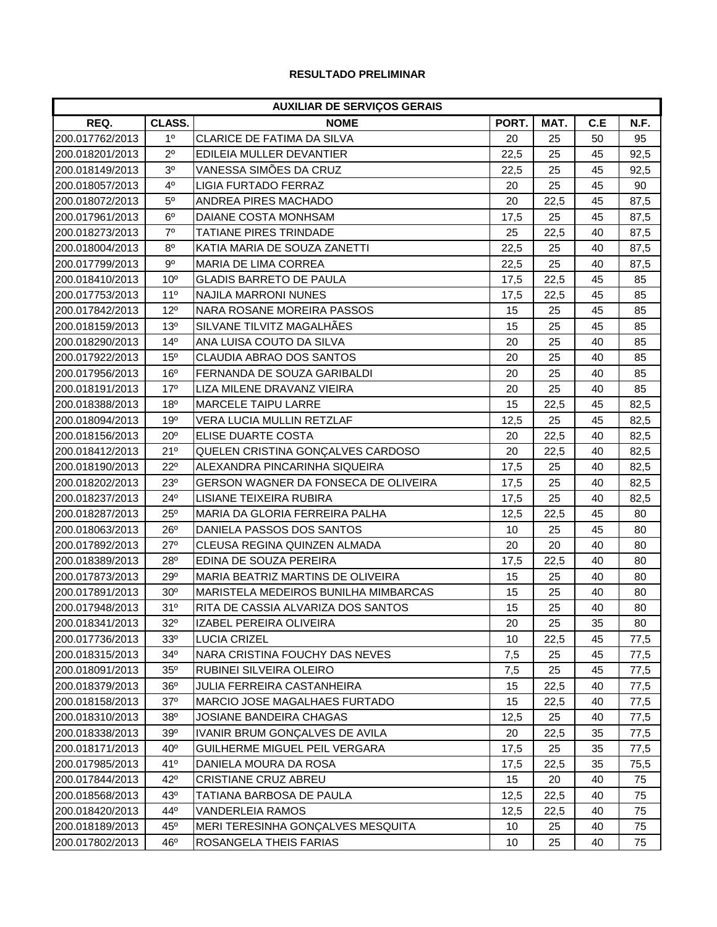## **RESULTADO PRELIMINAR**

| <b>AUXILIAR DE SERVIÇOS GERAIS</b> |                 |                                      |       |      |     |      |
|------------------------------------|-----------------|--------------------------------------|-------|------|-----|------|
| REQ.                               | CLASS.          | <b>NOME</b>                          | PORT. | MAT. | C.E | N.F. |
| 200.017762/2013                    | 1 <sup>0</sup>  | CLARICE DE FATIMA DA SILVA           | 20    | 25   | 50  | 95   |
| 200.018201/2013                    | $2^{\circ}$     | EDILEIA MULLER DEVANTIER             | 22,5  | 25   | 45  | 92,5 |
| 200.018149/2013                    | 3 <sup>o</sup>  | VANESSA SIMÕES DA CRUZ               | 22,5  | 25   | 45  | 92,5 |
| 200.018057/2013                    | 4 <sup>0</sup>  | <b>LIGIA FURTADO FERRAZ</b>          | 20    | 25   | 45  | 90   |
| 200.018072/2013                    | $5^{\circ}$     | ANDREA PIRES MACHADO                 | 20    | 22,5 | 45  | 87,5 |
| 200.017961/2013                    | $6^{\circ}$     | DAIANE COSTA MONHSAM                 | 17,5  | 25   | 45  | 87,5 |
| 200.018273/2013                    | $7^{\circ}$     | <b>TATIANE PIRES TRINDADE</b>        | 25    | 22,5 | 40  | 87,5 |
| 200.018004/2013                    | 8 <sup>o</sup>  | KATIA MARIA DE SOUZA ZANETTI         | 22,5  | 25   | 40  | 87,5 |
| 200.017799/2013                    | $9^{\circ}$     | <b>MARIA DE LIMA CORREA</b>          | 22,5  | 25   | 40  | 87,5 |
| 200.018410/2013                    | 10 <sup>o</sup> | <b>GLADIS BARRETO DE PAULA</b>       | 17,5  | 22,5 | 45  | 85   |
| 200.017753/2013                    | 11 <sup>0</sup> | <b>NAJILA MARRONI NUNES</b>          | 17,5  | 22,5 | 45  | 85   |
| 200.017842/2013                    | $12^{\circ}$    | NARA ROSANE MOREIRA PASSOS           | 15    | 25   | 45  | 85   |
| 200.018159/2013                    | 13 <sup>o</sup> | SILVANE TILVITZ MAGALHÃES            | 15    | 25   | 45  | 85   |
| 200.018290/2013                    | $14^{\circ}$    | ANA LUISA COUTO DA SILVA             | 20    | 25   | 40  | 85   |
| 200.017922/2013                    | 15 <sup>o</sup> | CLAUDIA ABRAO DOS SANTOS             | 20    | 25   | 40  | 85   |
| 200.017956/2013                    | 16 <sup>o</sup> | FERNANDA DE SOUZA GARIBALDI          | 20    | 25   | 40  | 85   |
| 200.018191/2013                    | 17 <sup>o</sup> | LIZA MILENE DRAVANZ VIEIRA           | 20    | 25   | 40  | 85   |
| 200.018388/2013                    | 18 <sup>o</sup> | <b>MARCELE TAIPU LARRE</b>           | 15    | 22,5 | 45  | 82,5 |
| 200.018094/2013                    | 19 <sup>o</sup> | VERA LUCIA MULLIN RETZLAF            | 12,5  | 25   | 45  | 82,5 |
| 200.018156/2013                    | $20^{\circ}$    | ELISE DUARTE COSTA                   | 20    | 22,5 | 40  | 82,5 |
| 200.018412/2013                    | 21°             | QUELEN CRISTINA GONÇALVES CARDOSO    | 20    | 22,5 | 40  | 82,5 |
| 200.018190/2013                    | $22^{\circ}$    | ALEXANDRA PINCARINHA SIQUEIRA        | 17,5  | 25   | 40  | 82,5 |
| 200.018202/2013                    | $23^{\circ}$    | GERSON WAGNER DA FONSECA DE OLIVEIRA | 17,5  | 25   | 40  | 82,5 |
| 200.018237/2013                    | 24°             | LISIANE TEIXEIRA RUBIRA              | 17,5  | 25   | 40  | 82,5 |
| 200.018287/2013                    | $25^{\circ}$    | MARIA DA GLORIA FERREIRA PALHA       | 12,5  | 22,5 | 45  | 80   |
| 200.018063/2013                    | $26^{\circ}$    | DANIELA PASSOS DOS SANTOS            | 10    | 25   | 45  | 80   |
| 200.017892/2013                    | $27^\circ$      | CLEUSA REGINA QUINZEN ALMADA         | 20    | 20   | 40  | 80   |
| 200.018389/2013                    | 28°             | EDINA DE SOUZA PEREIRA               | 17,5  | 22,5 | 40  | 80   |
| 200.017873/2013                    | 29°             | MARIA BEATRIZ MARTINS DE OLIVEIRA    | 15    | 25   | 40  | 80   |
| 200.017891/2013                    | 30 <sup>o</sup> | MARISTELA MEDEIROS BUNILHA MIMBARCAS | 15    | 25   | 40  | 80   |
| 200.017948/2013                    | 31°             | RITA DE CASSIA ALVARIZA DOS SANTOS   | 15    | 25   | 40  | 80   |
| 200.018341/2013                    | $32^\circ$      | IZABEL PEREIRA OLIVEIRA              | 20    | 25   | 35  | 80   |
| 200.017736/2013                    | 33 <sup>o</sup> | <b>LUCIA CRIZEL</b>                  | 10    | 22,5 | 45  | 77,5 |
| 200.018315/2013                    | $34^\circ$      | NARA CRISTINA FOUCHY DAS NEVES       | 7,5   | 25   | 45  | 77,5 |
| 200.018091/2013                    | $35^\circ$      | RUBINEI SILVEIRA OLEIRO              | 7,5   | 25   | 45  | 77,5 |
| 200.018379/2013                    | $36^{\circ}$    | <b>JULIA FERREIRA CASTANHEIRA</b>    | 15    | 22,5 | 40  | 77,5 |
| 200.018158/2013                    | $37^\circ$      | MARCIO JOSE MAGALHAES FURTADO        | 15    | 22,5 | 40  | 77,5 |
| 200.018310/2013                    | 38 <sup>o</sup> | JOSIANE BANDEIRA CHAGAS              | 12,5  | 25   | 40  | 77,5 |
| 200.018338/2013                    | $39^\circ$      | IVANIR BRUM GONÇALVES DE AVILA       | 20    | 22,5 | 35  | 77,5 |
| 200.018171/2013                    | $40^{\circ}$    | GUILHERME MIGUEL PEIL VERGARA        | 17,5  | 25   | 35  | 77,5 |
| 200.017985/2013                    | 41°             | DANIELA MOURA DA ROSA                | 17,5  | 22,5 | 35  | 75,5 |
| 200.017844/2013                    | $42^{\circ}$    | CRISTIANE CRUZ ABREU                 | 15    | 20   | 40  | 75   |
| 200.018568/2013                    | $43^\circ$      | TATIANA BARBOSA DE PAULA             | 12,5  | 22,5 | 40  | 75   |
| 200.018420/2013                    | $44^{\circ}$    | VANDERLEIA RAMOS                     | 12,5  | 22,5 | 40  | 75   |
| 200.018189/2013                    | $45^{\circ}$    | MERI TERESINHA GONÇALVES MESQUITA    | 10    | 25   | 40  | 75   |
| 200.017802/2013                    | 46°             | ROSANGELA THEIS FARIAS               | 10    | 25   | 40  | 75   |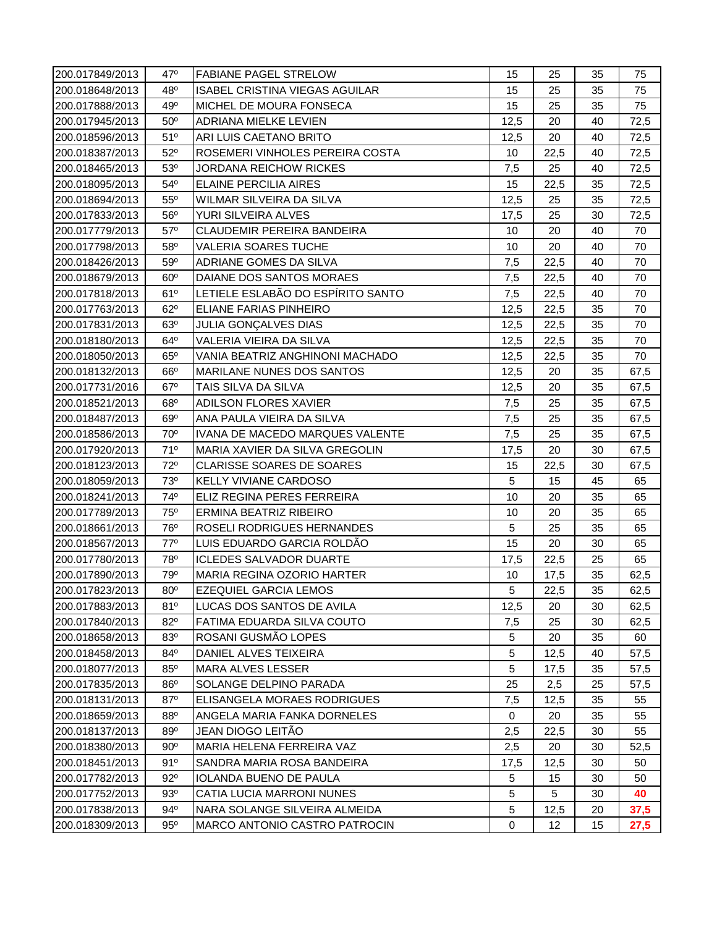| 200.017849/2013 | 47°             | <b>FABIANE PAGEL STRELOW</b>          | 15             | 25   | 35 | 75   |
|-----------------|-----------------|---------------------------------------|----------------|------|----|------|
| 200.018648/2013 | $48^{\circ}$    | <b>ISABEL CRISTINA VIEGAS AGUILAR</b> | 15             | 25   | 35 | 75   |
| 200.017888/2013 | 49°             | MICHEL DE MOURA FONSECA               | 15             | 25   | 35 | 75   |
| 200.017945/2013 | $50^\circ$      | <b>ADRIANA MIELKE LEVIEN</b>          | 12,5           | 20   | 40 | 72,5 |
| 200.018596/2013 | $51^{\circ}$    | ARI LUIS CAETANO BRITO                | 12,5           | 20   | 40 | 72,5 |
| 200.018387/2013 | $52^\circ$      | ROSEMERI VINHOLES PEREIRA COSTA       | 10             | 22,5 | 40 | 72,5 |
| 200.018465/2013 | 53 <sup>o</sup> | <b>JORDANA REICHOW RICKES</b>         | 7,5            | 25   | 40 | 72,5 |
| 200.018095/2013 | $54^{\circ}$    | <b>ELAINE PERCILIA AIRES</b>          | 15             | 22,5 | 35 | 72,5 |
| 200.018694/2013 | $55^{\circ}$    | WILMAR SILVEIRA DA SILVA              | 12,5           | 25   | 35 | 72,5 |
| 200.017833/2013 | $56^\circ$      | YURI SILVEIRA ALVES                   | 17,5           | 25   | 30 | 72,5 |
| 200.017779/2013 | $57^\circ$      | <b>CLAUDEMIR PEREIRA BANDEIRA</b>     | 10             | 20   | 40 | 70   |
| 200.017798/2013 | $58^\circ$      | <b>VALERIA SOARES TUCHE</b>           | 10             | 20   | 40 | 70   |
| 200.018426/2013 | $59^\circ$      | ADRIANE GOMES DA SILVA                | 7,5            | 22,5 | 40 | 70   |
| 200.018679/2013 | $60^\circ$      | DAIANE DOS SANTOS MORAES              | 7,5            | 22,5 | 40 | 70   |
| 200.017818/2013 | 61°             | LETIELE ESLABÃO DO ESPÍRITO SANTO     | 7,5            | 22,5 | 40 | 70   |
| 200.017763/2013 | $62^\circ$      | ELIANE FARIAS PINHEIRO                | 12,5           | 22,5 | 35 | 70   |
| 200.017831/2013 | $63^\circ$      | JULIA GONÇALVES DIAS                  | 12,5           | 22,5 | 35 | 70   |
| 200.018180/2013 | $64^{\circ}$    | VALERIA VIEIRA DA SILVA               | 12,5           | 22,5 | 35 | 70   |
| 200.018050/2013 | $65^\circ$      | VANIA BEATRIZ ANGHINONI MACHADO       | 12,5           | 22,5 | 35 | 70   |
| 200.018132/2013 | $66^\circ$      | <b>MARILANE NUNES DOS SANTOS</b>      | 12,5           | 20   | 35 | 67,5 |
| 200.017731/2016 | $67^\circ$      | TAIS SILVA DA SILVA                   | 12,5           | 20   | 35 | 67,5 |
| 200.018521/2013 | $68^\circ$      | ADILSON FLORES XAVIER                 | 7,5            | 25   | 35 | 67,5 |
| 200.018487/2013 | $69^\circ$      | ANA PAULA VIEIRA DA SILVA             | 7,5            | 25   | 35 | 67,5 |
| 200.018586/2013 | $70^{\circ}$    | IVANA DE MACEDO MARQUES VALENTE       | 7,5            | 25   | 35 | 67,5 |
| 200.017920/2013 | 71°             | MARIA XAVIER DA SILVA GREGOLIN        | 17,5           | 20   | 30 | 67,5 |
| 200.018123/2013 | $72^{\circ}$    | <b>CLARISSE SOARES DE SOARES</b>      | 15             | 22,5 | 30 | 67,5 |
| 200.018059/2013 | 73 <sup>o</sup> | KELLY VIVIANE CARDOSO                 | 5              | 15   | 45 | 65   |
| 200.018241/2013 | $74^{\circ}$    | ELIZ REGINA PERES FERREIRA            | 10             | 20   | 35 | 65   |
| 200.017789/2013 | $75^\circ$      | ERMINA BEATRIZ RIBEIRO                | 10             | 20   | 35 | 65   |
| 200.018661/2013 | $76^{\circ}$    | ROSELI RODRIGUES HERNANDES            | 5              | 25   | 35 | 65   |
| 200.018567/2013 | $77^\circ$      | LUIS EDUARDO GARCIA ROLDÃO            | 15             | 20   | 30 | 65   |
| 200.017780/2013 | 78 <sup>°</sup> | <b>ICLEDES SALVADOR DUARTE</b>        | 17,5           | 22,5 | 25 | 65   |
| 200.017890/2013 | 79 <sup>o</sup> | MARIA REGINA OZORIO HARTER            | 10             | 17,5 | 35 | 62,5 |
| 200.017823/2013 | $80^\circ$      | <b>EZEQUIEL GARCIA LEMOS</b>          | 5 <sub>5</sub> | 22,5 | 35 | 62,5 |
| 200.017883/2013 | 81°             | LUCAS DOS SANTOS DE AVILA             | 12,5           | 20   | 30 | 62,5 |
| 200.017840/2013 | $82^{\circ}$    | FATIMA EDUARDA SILVA COUTO            | 7,5            | 25   | 30 | 62,5 |
| 200.018658/2013 | 83 <sup>o</sup> | ROSANI GUSMÃO LOPES                   | 5              | 20   | 35 | 60   |
| 200.018458/2013 | 84°             | DANIEL ALVES TEIXEIRA                 | 5              | 12,5 | 40 | 57,5 |
| 200.018077/2013 | $85^\circ$      | <b>MARA ALVES LESSER</b>              | 5              | 17,5 | 35 | 57,5 |
| 200.017835/2013 | 86°             | SOLANGE DELPINO PARADA                | 25             | 2,5  | 25 | 57,5 |
| 200.018131/2013 | 87°             | ELISANGELA MORAES RODRIGUES           | 7,5            | 12,5 | 35 | 55   |
| 200.018659/2013 | $88^\circ$      | ANGELA MARIA FANKA DORNELES           | 0              | 20   | 35 | 55   |
| 200.018137/2013 | 89 <sup>o</sup> | JEAN DIOGO LEITÃO                     | 2,5            | 22,5 | 30 | 55   |
| 200.018380/2013 | $90^\circ$      | MARIA HELENA FERREIRA VAZ             | 2,5            | 20   | 30 | 52,5 |
| 200.018451/2013 | 91°             | SANDRA MARIA ROSA BANDEIRA            | 17,5           | 12,5 | 30 | 50   |
| 200.017782/2013 | $92^{\circ}$    | <b>IOLANDA BUENO DE PAULA</b>         | 5              | 15   | 30 | 50   |
| 200.017752/2013 | $93^\circ$      | CATIA LUCIA MARRONI NUNES             | 5              | 5    | 30 | 40   |
| 200.017838/2013 | $94^{\circ}$    | NARA SOLANGE SILVEIRA ALMEIDA         | 5              | 12,5 | 20 | 37,5 |
| 200.018309/2013 | $95^\circ$      | <b>MARCO ANTONIO CASTRO PATROCIN</b>  | 0              | 12   | 15 | 27,5 |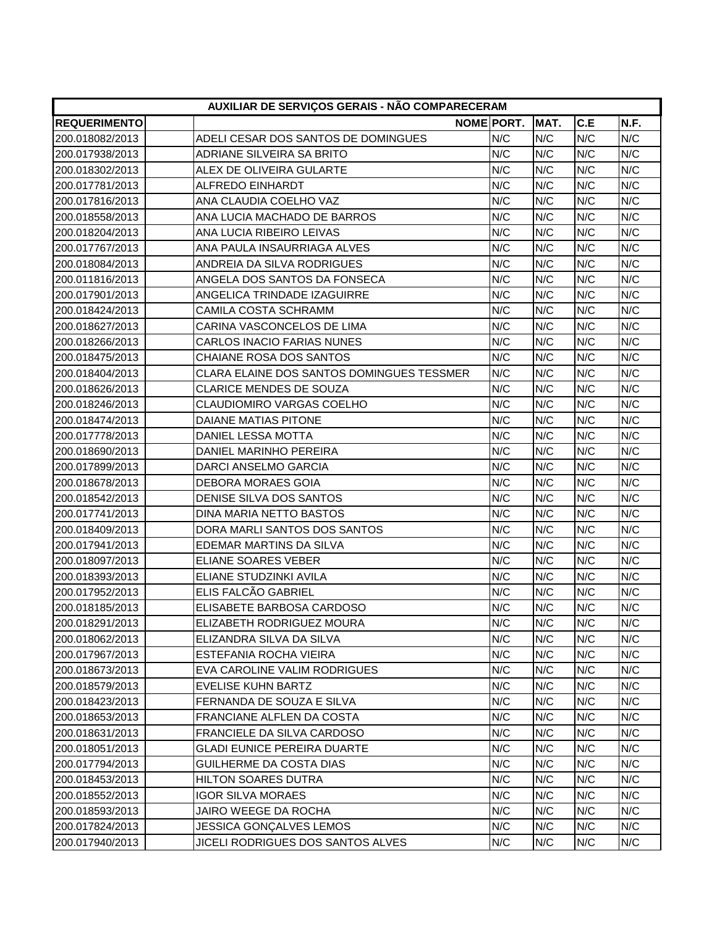| AUXILIAR DE SERVIÇOS GERAIS - NÃO COMPARECERAM |                                           |            |      |     |      |  |  |
|------------------------------------------------|-------------------------------------------|------------|------|-----|------|--|--|
| <b>REQUERIMENTO</b>                            |                                           | NOME PORT. | MAT. | C.E | N.F. |  |  |
| 200.018082/2013                                | ADELI CESAR DOS SANTOS DE DOMINGUES       | N/C        | N/C  | N/C | N/C  |  |  |
| 200.017938/2013                                | ADRIANE SILVEIRA SA BRITO                 | N/C        | N/C  | N/C | N/C  |  |  |
| 200.018302/2013                                | ALEX DE OLIVEIRA GULARTE                  | N/C        | N/C  | N/C | N/C  |  |  |
| 200.017781/2013                                | <b>ALFREDO EINHARDT</b>                   | N/C        | N/C  | N/C | N/C  |  |  |
| 200.017816/2013                                | ANA CLAUDIA COELHO VAZ                    | N/C        | N/C  | N/C | N/C  |  |  |
| 200.018558/2013                                | ANA LUCIA MACHADO DE BARROS               | N/C        | N/C  | N/C | N/C  |  |  |
| 200.018204/2013                                | ANA LUCIA RIBEIRO LEIVAS                  | N/C        | N/C  | N/C | N/C  |  |  |
| 200.017767/2013                                | ANA PAULA INSAURRIAGA ALVES               | N/C        | N/C  | N/C | N/C  |  |  |
| 200.018084/2013                                | ANDREIA DA SILVA RODRIGUES                | N/C        | N/C  | N/C | N/C  |  |  |
| 200.011816/2013                                | ANGELA DOS SANTOS DA FONSECA              | N/C        | N/C  | N/C | N/C  |  |  |
| 200.017901/2013                                | ANGELICA TRINDADE IZAGUIRRE               | N/C        | N/C  | N/C | N/C  |  |  |
| 200.018424/2013                                | CAMILA COSTA SCHRAMM                      | N/C        | N/C  | N/C | N/C  |  |  |
| 200.018627/2013                                | CARINA VASCONCELOS DE LIMA                | N/C        | N/C  | N/C | N/C  |  |  |
| 200.018266/2013                                | <b>CARLOS INACIO FARIAS NUNES</b>         | N/C        | N/C  | N/C | N/C  |  |  |
| 200.018475/2013                                | CHAIANE ROSA DOS SANTOS                   | N/C        | N/C  | N/C | N/C  |  |  |
| 200.018404/2013                                | CLARA ELAINE DOS SANTOS DOMINGUES TESSMER | N/C        | N/C  | N/C | N/C  |  |  |
| 200.018626/2013                                | <b>CLARICE MENDES DE SOUZA</b>            | N/C        | N/C  | N/C | N/C  |  |  |
| 200.018246/2013                                | <b>CLAUDIOMIRO VARGAS COELHO</b>          | N/C        | N/C  | N/C | N/C  |  |  |
| 200.018474/2013                                | DAIANE MATIAS PITONE                      | N/C        | N/C  | N/C | N/C  |  |  |
| 200.017778/2013                                | DANIEL LESSA MOTTA                        | N/C        | N/C  | N/C | N/C  |  |  |
| 200.018690/2013                                | DANIEL MARINHO PEREIRA                    | N/C        | N/C  | N/C | N/C  |  |  |
| 200.017899/2013                                | DARCI ANSELMO GARCIA                      | N/C        | N/C  | N/C | N/C  |  |  |
| 200.018678/2013                                | <b>DEBORA MORAES GOIA</b>                 | N/C        | N/C  | N/C | N/C  |  |  |
| 200.018542/2013                                | DENISE SILVA DOS SANTOS                   | N/C        | N/C  | N/C | N/C  |  |  |
| 200.017741/2013                                | DINA MARIA NETTO BASTOS                   | N/C        | N/C  | N/C | N/C  |  |  |
| 200.018409/2013                                | DORA MARLI SANTOS DOS SANTOS              | N/C        | N/C  | N/C | N/C  |  |  |
| 200.017941/2013                                | EDEMAR MARTINS DA SILVA                   | N/C        | N/C  | N/C | N/C  |  |  |
| 200.018097/2013                                | ELIANE SOARES VEBER                       | N/C        | N/C  | N/C | N/C  |  |  |
| 200.018393/2013                                | ELIANE STUDZINKI AVILA                    | N/C        | N/C  | N/C | N/C  |  |  |
| 200.017952/2013                                | ELIS FALCÃO GABRIEL                       | N/C        | N/C  | N/C | N/C  |  |  |
| 200.018185/2013                                | ELISABETE BARBOSA CARDOSO                 | N/C        | N/C  | N/C | N/C  |  |  |
| 200.018291/2013                                | ELIZABETH RODRIGUEZ MOURA                 | N/C        | N/C  | N/C | N/C  |  |  |
| 200.018062/2013                                | ELIZANDRA SILVA DA SILVA                  | N/C        | N/C  | N/C | N/C  |  |  |
| 200.017967/2013                                | ESTEFANIA ROCHA VIEIRA                    | N/C        | N/C  | N/C | N/C  |  |  |
| 200.018673/2013                                | EVA CAROLINE VALIM RODRIGUES              | N/C        | N/C  | N/C | N/C  |  |  |
| 200.018579/2013                                | <b>EVELISE KUHN BARTZ</b>                 | N/C        | N/C  | N/C | N/C  |  |  |
| 200.018423/2013                                | FERNANDA DE SOUZA E SILVA                 | N/C        | N/C  | N/C | N/C  |  |  |
| 200.018653/2013                                | FRANCIANE ALFLEN DA COSTA                 | N/C        | N/C  | N/C | N/C  |  |  |
| 200.018631/2013                                | FRANCIELE DA SILVA CARDOSO                | N/C        | N/C  | N/C | N/C  |  |  |
| 200.018051/2013                                | <b>GLADI EUNICE PEREIRA DUARTE</b>        | N/C        | N/C  | N/C | N/C  |  |  |
| 200.017794/2013                                | GUILHERME DA COSTA DIAS                   | N/C        | N/C  | N/C | N/C  |  |  |
| 200.018453/2013                                | HILTON SOARES DUTRA                       | N/C        | N/C  | N/C | N/C  |  |  |
| 200.018552/2013                                | <b>IGOR SILVA MORAES</b>                  | N/C        | N/C  | N/C | N/C  |  |  |
| 200.018593/2013                                | JAIRO WEEGE DA ROCHA                      | N/C        | N/C  | N/C | N/C  |  |  |
| 200.017824/2013                                | <b>JESSICA GONÇALVES LEMOS</b>            | N/C        | N/C  | N/C | N/C  |  |  |
| 200.017940/2013                                | JICELI RODRIGUES DOS SANTOS ALVES         | N/C        | N/C  | N/C | N/C  |  |  |